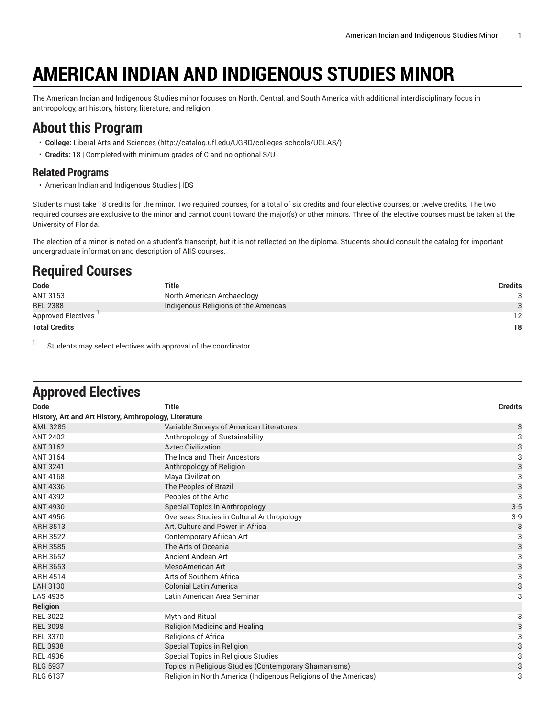## **AMERICAN INDIAN AND INDIGENOUS STUDIES MINOR**

The American Indian and Indigenous Studies minor focuses on North, Central, and South America with additional interdisciplinary focus in anthropology, art history, history, literature, and religion.

## **About this Program**

- **College:** Liberal Arts and [Sciences](http://catalog.ufl.edu/UGRD/colleges-schools/UGLAS/) ([http://catalog.ufl.edu/UGRD/colleges-schools/UGLAS/\)](http://catalog.ufl.edu/UGRD/colleges-schools/UGLAS/)
- **Credits:** 18 | Completed with minimum grades of C and no optional S/U

## **Related Programs**

• American Indian and Indigenous Studies | IDS

Students must take 18 credits for the minor. Two required courses, for a total of six credits and four elective courses, or twelve credits. The two required courses are exclusive to the minor and cannot count toward the major(s) or other minors. Three of the elective courses must be taken at the University of Florida.

The election of a minor is noted on a student's transcript, but it is not reflected on the diploma. Students should consult the catalog for important undergraduate information and description of AIIS courses.

## **Required Courses**

| Code                 | Title                                | Credits |
|----------------------|--------------------------------------|---------|
| ANT 3153             | North American Archaeology           |         |
| <b>REL 2388</b>      | Indigenous Religions of the Americas |         |
| Approved Electives   |                                      | 12      |
| <b>Total Credits</b> |                                      | 18      |

1 Students may select electives with approval of the coordinator.

| <b>Approved Electives</b>                              |                                                                  |                |
|--------------------------------------------------------|------------------------------------------------------------------|----------------|
| Code                                                   | <b>Title</b>                                                     | <b>Credits</b> |
| History, Art and Art History, Anthropology, Literature |                                                                  |                |
| <b>AML 3285</b>                                        | Variable Surveys of American Literatures                         | $\mathsf{3}$   |
| <b>ANT 2402</b>                                        | Anthropology of Sustainability                                   | $\overline{3}$ |
| <b>ANT 3162</b>                                        | <b>Aztec Civilization</b>                                        | 3              |
| <b>ANT 3164</b>                                        | The Inca and Their Ancestors                                     | $\overline{3}$ |
| <b>ANT 3241</b>                                        | Anthropology of Religion                                         | 3              |
| <b>ANT 4168</b>                                        | Maya Civilization                                                | 3              |
| ANT 4336                                               | The Peoples of Brazil                                            | $\frac{3}{3}$  |
| <b>ANT 4392</b>                                        | Peoples of the Artic                                             |                |
| <b>ANT 4930</b>                                        | Special Topics in Anthropology                                   | $3-5$          |
| <b>ANT 4956</b>                                        | Overseas Studies in Cultural Anthropology                        | $3-9$          |
| <b>ARH 3513</b>                                        | Art, Culture and Power in Africa                                 | 3              |
| <b>ARH 3522</b>                                        | Contemporary African Art                                         | 3              |
| <b>ARH 3585</b>                                        | The Arts of Oceania                                              | $\frac{3}{3}$  |
| ARH 3652                                               | Ancient Andean Art                                               |                |
| <b>ARH 3653</b>                                        | <b>MesoAmerican Art</b>                                          | $\frac{3}{3}$  |
| <b>ARH 4514</b>                                        | Arts of Southern Africa                                          |                |
| LAH 3130                                               | <b>Colonial Latin America</b>                                    | 3              |
| <b>LAS 4935</b>                                        | Latin American Area Seminar                                      | 3              |
| <b>Religion</b>                                        |                                                                  |                |
| <b>REL 3022</b>                                        | Myth and Ritual                                                  | 3              |
| <b>REL 3098</b>                                        | Religion Medicine and Healing                                    | $\mathsf{3}$   |
| <b>REL 3370</b>                                        | Religions of Africa                                              | 3              |
| <b>REL 3938</b>                                        | Special Topics in Religion                                       | 3              |
| <b>REL 4936</b>                                        | Special Topics in Religious Studies                              | 3              |
| <b>RLG 5937</b>                                        | Topics in Religious Studies (Contemporary Shamanisms)            | 3              |
| <b>RLG 6137</b>                                        | Religion in North America (Indigenous Religions of the Americas) | 3              |